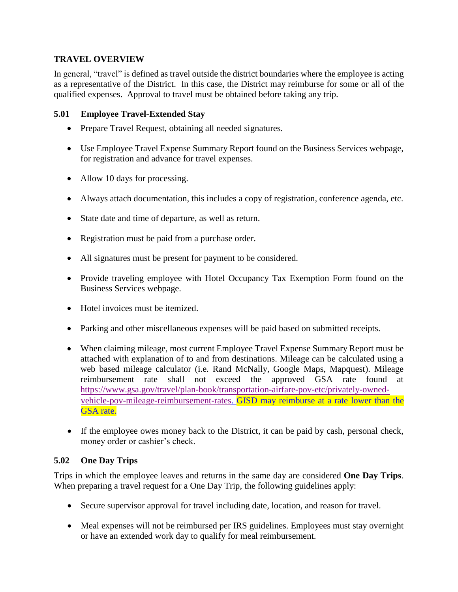## **TRAVEL OVERVIEW**

In general, "travel" is defined as travel outside the district boundaries where the employee is acting as a representative of the District. In this case, the District may reimburse for some or all of the qualified expenses. Approval to travel must be obtained before taking any trip.

## **5.01 Employee Travel-Extended Stay**

- Prepare Travel Request, obtaining all needed signatures.
- Use Employee Travel Expense Summary Report found on the Business Services webpage, for registration and advance for travel expenses.
- Allow 10 days for processing.
- Always attach documentation, this includes a copy of registration, conference agenda, etc.
- State date and time of departure, as well as return.
- Registration must be paid from a purchase order.
- All signatures must be present for payment to be considered.
- Provide traveling employee with Hotel Occupancy Tax Exemption Form found on the Business Services webpage.
- Hotel invoices must be itemized.
- Parking and other miscellaneous expenses will be paid based on submitted receipts.
- When claiming mileage, most current Employee Travel Expense Summary Report must be attached with explanation of to and from destinations. Mileage can be calculated using a web based mileage calculator (i.e. Rand McNally, Google Maps, Mapquest). Mileage reimbursement rate shall not exceed the approved GSA rate found at [https://www.gsa.gov/travel/plan-book/transportation-airfare-pov-etc/privately-owned](https://www.gsa.gov/travel/plan-book/transportation-airfare-pov-etc/privately-owned-vehicle-pov-mileage-reimbursement-rates)[vehicle-pov-mileage-reimbursement-rates.](https://www.gsa.gov/travel/plan-book/transportation-airfare-pov-etc/privately-owned-vehicle-pov-mileage-reimbursement-rates) GISD may reimburse at a rate lower than the GSA rate.
- If the employee owes money back to the District, it can be paid by cash, personal check, money order or cashier's check.

# **5.02 One Day Trips**

Trips in which the employee leaves and returns in the same day are considered **One Day Trips**. When preparing a travel request for a One Day Trip, the following guidelines apply:

- Secure supervisor approval for travel including date, location, and reason for travel.
- Meal expenses will not be reimbursed per IRS guidelines. Employees must stay overnight or have an extended work day to qualify for meal reimbursement.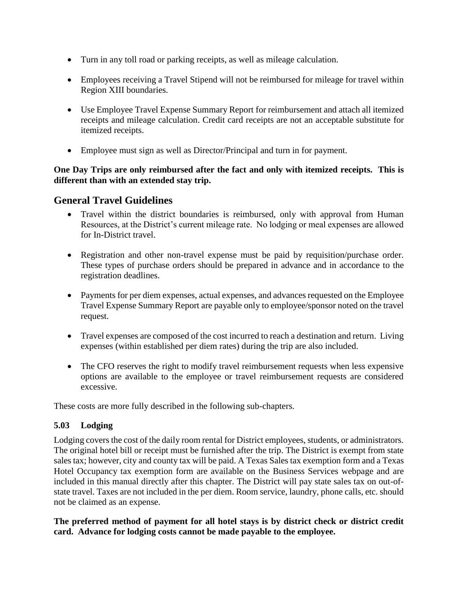- Turn in any toll road or parking receipts, as well as mileage calculation.
- Employees receiving a Travel Stipend will not be reimbursed for mileage for travel within Region XIII boundaries.
- Use Employee Travel Expense Summary Report for reimbursement and attach all itemized receipts and mileage calculation. Credit card receipts are not an acceptable substitute for itemized receipts.
- Employee must sign as well as Director/Principal and turn in for payment.

## **One Day Trips are only reimbursed after the fact and only with itemized receipts. This is different than with an extended stay trip.**

# **General Travel Guidelines**

- Travel within the district boundaries is reimbursed, only with approval from Human Resources, at the District's current mileage rate. No lodging or meal expenses are allowed for In-District travel.
- Registration and other non-travel expense must be paid by requisition/purchase order. These types of purchase orders should be prepared in advance and in accordance to the registration deadlines.
- Payments for per diem expenses, actual expenses, and advances requested on the Employee Travel Expense Summary Report are payable only to employee/sponsor noted on the travel request.
- Travel expenses are composed of the cost incurred to reach a destination and return. Living expenses (within established per diem rates) during the trip are also included.
- The CFO reserves the right to modify travel reimbursement requests when less expensive options are available to the employee or travel reimbursement requests are considered excessive.

These costs are more fully described in the following sub-chapters.

# **5.03 Lodging**

Lodging covers the cost of the daily room rental for District employees, students, or administrators. The original hotel bill or receipt must be furnished after the trip. The District is exempt from state sales tax; however, city and county tax will be paid. A Texas Sales tax exemption form and a Texas Hotel Occupancy tax exemption form are available on the Business Services webpage and are included in this manual directly after this chapter. The District will pay state sales tax on out-ofstate travel. Taxes are not included in the per diem. Room service, laundry, phone calls, etc. should not be claimed as an expense.

**The preferred method of payment for all hotel stays is by district check or district credit card. Advance for lodging costs cannot be made payable to the employee.**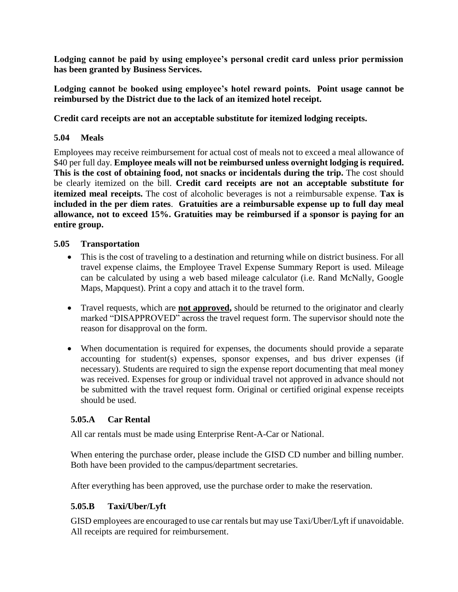**Lodging cannot be paid by using employee's personal credit card unless prior permission has been granted by Business Services.**

**Lodging cannot be booked using employee's hotel reward points. Point usage cannot be reimbursed by the District due to the lack of an itemized hotel receipt.**

**Credit card receipts are not an acceptable substitute for itemized lodging receipts.**

#### **5.04 Meals**

Employees may receive reimbursement for actual cost of meals not to exceed a meal allowance of \$40 per full day. **Employee meals will not be reimbursed unless overnight lodging is required. This is the cost of obtaining food, not snacks or incidentals during the trip.** The cost should be clearly itemized on the bill. **Credit card receipts are not an acceptable substitute for itemized meal receipts.** The cost of alcoholic beverages is not a reimbursable expense. **Tax is included in the per diem rates**. **Gratuities are a reimbursable expense up to full day meal allowance, not to exceed 15%. Gratuities may be reimbursed if a sponsor is paying for an entire group.**

#### **5.05 Transportation**

- This is the cost of traveling to a destination and returning while on district business. For all travel expense claims, the Employee Travel Expense Summary Report is used. Mileage can be calculated by using a web based mileage calculator (i.e. Rand McNally, Google Maps, Mapquest). Print a copy and attach it to the travel form.
- Travel requests, which are **not approved**, should be returned to the originator and clearly marked "DISAPPROVED" across the travel request form. The supervisor should note the reason for disapproval on the form.
- When documentation is required for expenses, the documents should provide a separate accounting for student(s) expenses, sponsor expenses, and bus driver expenses (if necessary). Students are required to sign the expense report documenting that meal money was received. Expenses for group or individual travel not approved in advance should not be submitted with the travel request form. Original or certified original expense receipts should be used.

#### **5.05.A Car Rental**

All car rentals must be made using Enterprise Rent-A-Car or National.

When entering the purchase order, please include the GISD CD number and billing number. Both have been provided to the campus/department secretaries.

After everything has been approved, use the purchase order to make the reservation.

#### **5.05.B Taxi/Uber/Lyft**

GISD employees are encouraged to use car rentals but may use Taxi/Uber/Lyft if unavoidable. All receipts are required for reimbursement.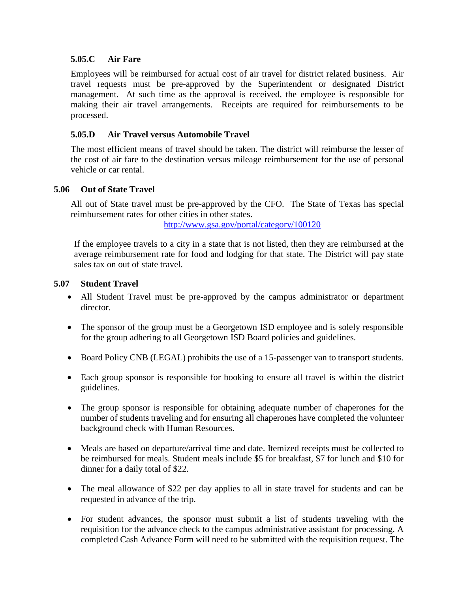#### **5.05.C Air Fare**

Employees will be reimbursed for actual cost of air travel for district related business. Air travel requests must be pre-approved by the Superintendent or designated District management. At such time as the approval is received, the employee is responsible for making their air travel arrangements. Receipts are required for reimbursements to be processed.

## **5.05.D Air Travel versus Automobile Travel**

The most efficient means of travel should be taken. The district will reimburse the lesser of the cost of air fare to the destination versus mileage reimbursement for the use of personal vehicle or car rental.

#### **5.06 Out of State Travel**

All out of State travel must be pre-approved by the CFO. The State of Texas has special reimbursement rates for other cities in other states.

<http://www.gsa.gov/portal/category/100120>

If the employee travels to a city in a state that is not listed, then they are reimbursed at the average reimbursement rate for food and lodging for that state. The District will pay state sales tax on out of state travel.

#### **5.07 Student Travel**

- All Student Travel must be pre-approved by the campus administrator or department director.
- The sponsor of the group must be a Georgetown ISD employee and is solely responsible for the group adhering to all Georgetown ISD Board policies and guidelines.
- Board Policy CNB (LEGAL) prohibits the use of a 15-passenger van to transport students.
- Each group sponsor is responsible for booking to ensure all travel is within the district guidelines.
- The group sponsor is responsible for obtaining adequate number of chaperones for the number of students traveling and for ensuring all chaperones have completed the volunteer background check with Human Resources.
- Meals are based on departure/arrival time and date. Itemized receipts must be collected to be reimbursed for meals. Student meals include \$5 for breakfast, \$7 for lunch and \$10 for dinner for a daily total of \$22.
- The meal allowance of \$22 per day applies to all in state travel for students and can be requested in advance of the trip.
- For student advances, the sponsor must submit a list of students traveling with the requisition for the advance check to the campus administrative assistant for processing. A completed Cash Advance Form will need to be submitted with the requisition request. The